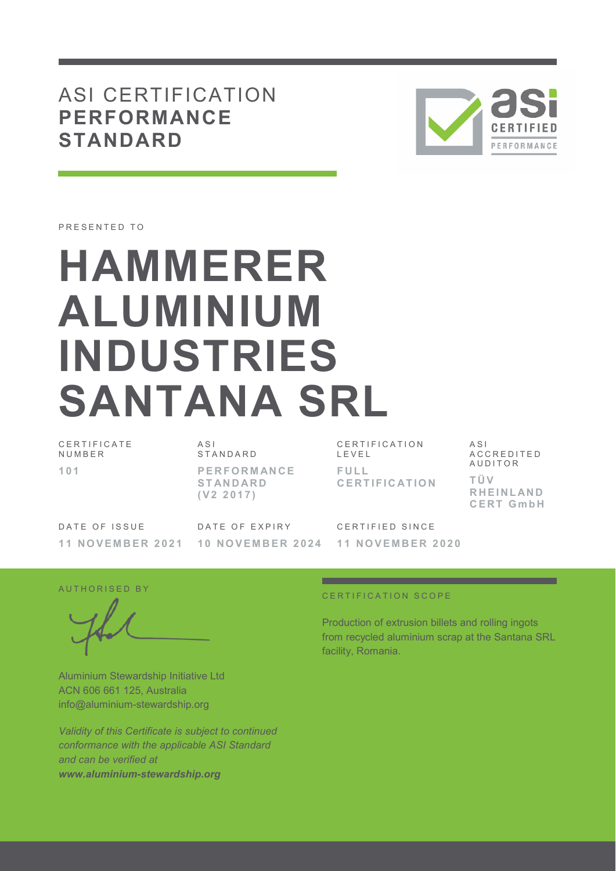## ASI CERTIFICATION **PERFORMANCE STANDARD**



PRESENTED TO

# **HAMMERER ALUMINIUM INDUSTRIES SANTANA SRL**

| CERTIFICATE<br>NUMBER |  |
|-----------------------|--|
| -101                  |  |

A S I S T A N D A R D **P E R F O R M AN C E S T AN D AR D ( V 2 2 0 1 7 )** 

CERTIFICATION  $I$   $F$   $V$   $F$   $I$ **F U L L C E R T I F I C AT I O N** 

A S I A C C R E D I T E D **AUDITOR T Ü V R H E I N L AN D C E R T G m b H**

DATE OF ISSUE **1 1 N O V E M B E R 2 0 2 1**  DATE OF EXPIRY **1 0 N O V E M B E R 2 0 2 4**  CERTIFIED SINCE **1 1 N O V E M B E R 2 0 2 0** 

AUTHORISED BY

Aluminium Stewardship Initiative Ltd ACN 606 661 125, Australia info@aluminium-stewardship.org

*Validity of this Certificate is subject to continued conformance with the applicable ASI Standard and can be verified at www.aluminium-stewardship.org*

#### CERTIFICATION SCOPE

Production of extrusion billets and rolling ingots from recycled aluminium scrap at the Santana SRL facility, Romania.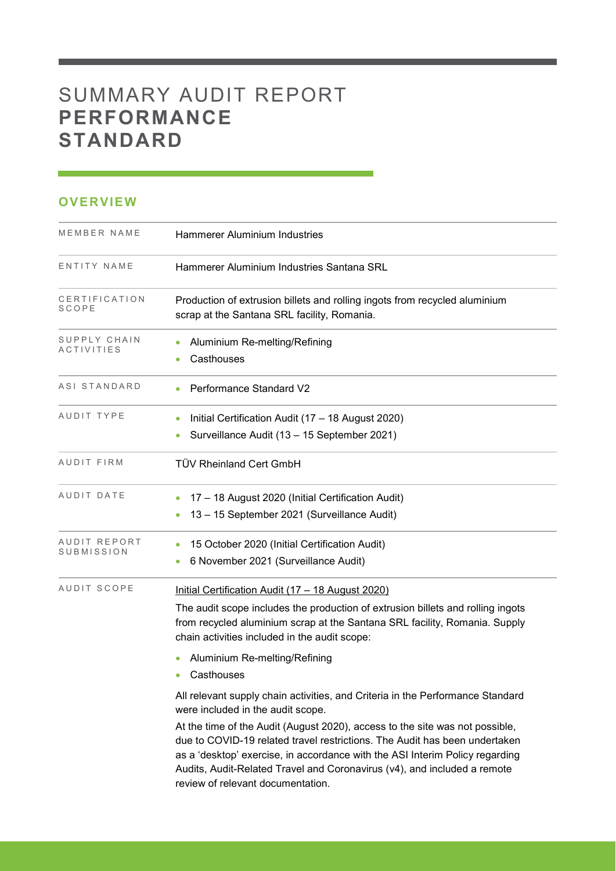# SUMMARY AUDIT REPORT **PERFORMANCE STANDARD**

### **OVERVIEW**

| MEMBER NAME                | Hammerer Aluminium Industries                                                                                                                                                                                                                                                                                                                                                                                                                                                      |
|----------------------------|------------------------------------------------------------------------------------------------------------------------------------------------------------------------------------------------------------------------------------------------------------------------------------------------------------------------------------------------------------------------------------------------------------------------------------------------------------------------------------|
| ENTITY NAME                | Hammerer Aluminium Industries Santana SRL                                                                                                                                                                                                                                                                                                                                                                                                                                          |
| CERTIFICATION<br>SCOPE     | Production of extrusion billets and rolling ingots from recycled aluminium<br>scrap at the Santana SRL facility, Romania.                                                                                                                                                                                                                                                                                                                                                          |
| SUPPLY CHAIN<br>ACTIVITIES | Aluminium Re-melting/Refining<br>Casthouses                                                                                                                                                                                                                                                                                                                                                                                                                                        |
| ASI STANDARD               | Performance Standard V2                                                                                                                                                                                                                                                                                                                                                                                                                                                            |
| AUDIT TYPE                 | Initial Certification Audit (17 - 18 August 2020)<br>Surveillance Audit (13 - 15 September 2021)<br>۰                                                                                                                                                                                                                                                                                                                                                                              |
| AUDIT FIRM                 | <b>TÜV Rheinland Cert GmbH</b>                                                                                                                                                                                                                                                                                                                                                                                                                                                     |
| AUDIT DATE                 | 17 - 18 August 2020 (Initial Certification Audit)<br>13 - 15 September 2021 (Surveillance Audit)                                                                                                                                                                                                                                                                                                                                                                                   |
| AUDIT REPORT<br>SUBMISSION | 15 October 2020 (Initial Certification Audit)<br>6 November 2021 (Surveillance Audit)                                                                                                                                                                                                                                                                                                                                                                                              |
| AUDIT SCOPE                | Initial Certification Audit (17 - 18 August 2020)<br>The audit scope includes the production of extrusion billets and rolling ingots<br>from recycled aluminium scrap at the Santana SRL facility, Romania. Supply<br>chain activities included in the audit scope:<br>Aluminium Re-melting/Refining<br>Casthouses                                                                                                                                                                 |
|                            | All relevant supply chain activities, and Criteria in the Performance Standard<br>were included in the audit scope.<br>At the time of the Audit (August 2020), access to the site was not possible,<br>due to COVID-19 related travel restrictions. The Audit has been undertaken<br>as a 'desktop' exercise, in accordance with the ASI Interim Policy regarding<br>Audits, Audit-Related Travel and Coronavirus (v4), and included a remote<br>review of relevant documentation. |

and the state of the state of the state of the state of the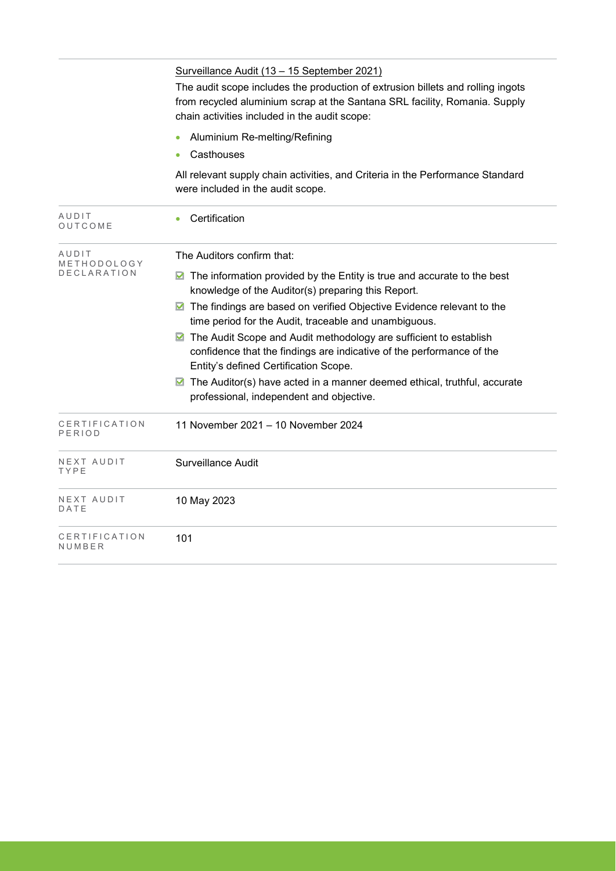|                         | Surveillance Audit (13 - 15 September 2021)<br>The audit scope includes the production of extrusion billets and rolling ingots<br>from recycled aluminium scrap at the Santana SRL facility, Romania. Supply<br>chain activities included in the audit scope: |
|-------------------------|---------------------------------------------------------------------------------------------------------------------------------------------------------------------------------------------------------------------------------------------------------------|
|                         | Aluminium Re-melting/Refining<br>Casthouses                                                                                                                                                                                                                   |
|                         | All relevant supply chain activities, and Criteria in the Performance Standard<br>were included in the audit scope.                                                                                                                                           |
| AUDIT<br>OUTCOME        | Certification                                                                                                                                                                                                                                                 |
| AUDIT<br>METHODOLOGY    | The Auditors confirm that:                                                                                                                                                                                                                                    |
| DECLARATION             | The information provided by the Entity is true and accurate to the best<br>M<br>knowledge of the Auditor(s) preparing this Report.                                                                                                                            |
|                         | ▶ The findings are based on verified Objective Evidence relevant to the<br>time period for the Audit, traceable and unambiguous.                                                                                                                              |
|                         | The Audit Scope and Audit methodology are sufficient to establish<br>M<br>confidence that the findings are indicative of the performance of the<br>Entity's defined Certification Scope.                                                                      |
|                         | ■ The Auditor(s) have acted in a manner deemed ethical, truthful, accurate<br>professional, independent and objective.                                                                                                                                        |
| CERTIFICATION<br>PERIOD | 11 November 2021 - 10 November 2024                                                                                                                                                                                                                           |
| NEXT AUDIT<br>TYPE      | Surveillance Audit                                                                                                                                                                                                                                            |
| NEXT AUDIT<br>DATE      | 10 May 2023                                                                                                                                                                                                                                                   |
| CERTIFICATION<br>NUMBER | 101                                                                                                                                                                                                                                                           |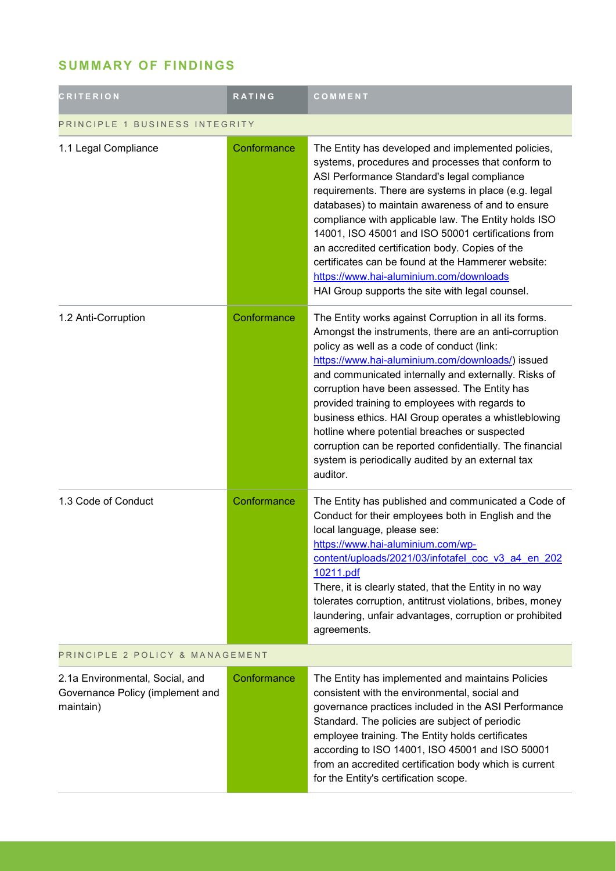## **SUMMARY OF FINDINGS**

| <b>CRITERION</b>                                                                 | RATING      | COMMENT                                                                                                                                                                                                                                                                                                                                                                                                                                                                                                                                                                                                           |
|----------------------------------------------------------------------------------|-------------|-------------------------------------------------------------------------------------------------------------------------------------------------------------------------------------------------------------------------------------------------------------------------------------------------------------------------------------------------------------------------------------------------------------------------------------------------------------------------------------------------------------------------------------------------------------------------------------------------------------------|
| PRINCIPLE 1 BUSINESS INTEGRITY                                                   |             |                                                                                                                                                                                                                                                                                                                                                                                                                                                                                                                                                                                                                   |
| 1.1 Legal Compliance                                                             | Conformance | The Entity has developed and implemented policies,<br>systems, procedures and processes that conform to<br>ASI Performance Standard's legal compliance<br>requirements. There are systems in place (e.g. legal<br>databases) to maintain awareness of and to ensure<br>compliance with applicable law. The Entity holds ISO<br>14001, ISO 45001 and ISO 50001 certifications from<br>an accredited certification body. Copies of the<br>certificates can be found at the Hammerer website:<br>https://www.hai-aluminium.com/downloads<br>HAI Group supports the site with legal counsel.                          |
| 1.2 Anti-Corruption                                                              | Conformance | The Entity works against Corruption in all its forms.<br>Amongst the instruments, there are an anti-corruption<br>policy as well as a code of conduct (link:<br>https://www.hai-aluminium.com/downloads/) issued<br>and communicated internally and externally. Risks of<br>corruption have been assessed. The Entity has<br>provided training to employees with regards to<br>business ethics. HAI Group operates a whistleblowing<br>hotline where potential breaches or suspected<br>corruption can be reported confidentially. The financial<br>system is periodically audited by an external tax<br>auditor. |
| 1.3 Code of Conduct                                                              | Conformance | The Entity has published and communicated a Code of<br>Conduct for their employees both in English and the<br>local language, please see:<br>https://www.hai-aluminium.com/wp-<br>content/uploads/2021/03/infotafel coc v3 a4 en 202<br>10211.pdf<br>There, it is clearly stated, that the Entity in no way<br>tolerates corruption, antitrust violations, bribes, money<br>laundering, unfair advantages, corruption or prohibited<br>agreements.                                                                                                                                                                |
| PRINCIPLE 2 POLICY & MANAGEMENT                                                  |             |                                                                                                                                                                                                                                                                                                                                                                                                                                                                                                                                                                                                                   |
| 2.1a Environmental, Social, and<br>Governance Policy (implement and<br>maintain) | Conformance | The Entity has implemented and maintains Policies<br>consistent with the environmental, social and<br>governance practices included in the ASI Performance<br>Standard. The policies are subject of periodic<br>employee training. The Entity holds certificates<br>according to ISO 14001, ISO 45001 and ISO 50001<br>from an accredited certification body which is current<br>for the Entity's certification scope.                                                                                                                                                                                            |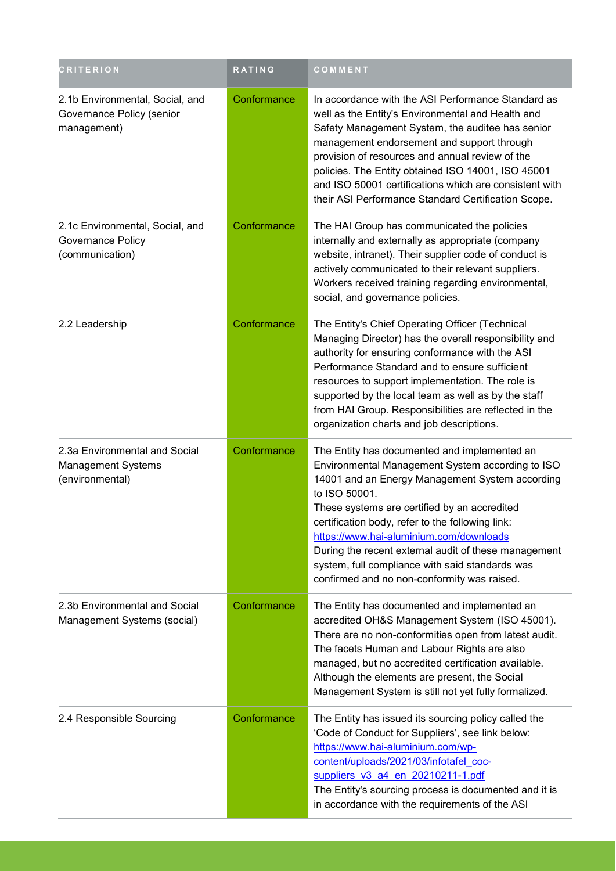| <b>CRITERION</b>                                                              | RATING      | COMMENT                                                                                                                                                                                                                                                                                                                                                                                                                                                                       |
|-------------------------------------------------------------------------------|-------------|-------------------------------------------------------------------------------------------------------------------------------------------------------------------------------------------------------------------------------------------------------------------------------------------------------------------------------------------------------------------------------------------------------------------------------------------------------------------------------|
| 2.1b Environmental, Social, and<br>Governance Policy (senior<br>management)   | Conformance | In accordance with the ASI Performance Standard as<br>well as the Entity's Environmental and Health and<br>Safety Management System, the auditee has senior<br>management endorsement and support through<br>provision of resources and annual review of the<br>policies. The Entity obtained ISO 14001, ISO 45001<br>and ISO 50001 certifications which are consistent with<br>their ASI Performance Standard Certification Scope.                                           |
| 2.1c Environmental, Social, and<br>Governance Policy<br>(communication)       | Conformance | The HAI Group has communicated the policies<br>internally and externally as appropriate (company<br>website, intranet). Their supplier code of conduct is<br>actively communicated to their relevant suppliers.<br>Workers received training regarding environmental,<br>social, and governance policies.                                                                                                                                                                     |
| 2.2 Leadership                                                                | Conformance | The Entity's Chief Operating Officer (Technical<br>Managing Director) has the overall responsibility and<br>authority for ensuring conformance with the ASI<br>Performance Standard and to ensure sufficient<br>resources to support implementation. The role is<br>supported by the local team as well as by the staff<br>from HAI Group. Responsibilities are reflected in the<br>organization charts and job descriptions.                                                 |
| 2.3a Environmental and Social<br><b>Management Systems</b><br>(environmental) | Conformance | The Entity has documented and implemented an<br>Environmental Management System according to ISO<br>14001 and an Energy Management System according<br>to ISO 50001.<br>These systems are certified by an accredited<br>certification body, refer to the following link:<br>https://www.hai-aluminium.com/downloads<br>During the recent external audit of these management<br>system, full compliance with said standards was<br>confirmed and no non-conformity was raised. |
| 2.3b Environmental and Social<br>Management Systems (social)                  | Conformance | The Entity has documented and implemented an<br>accredited OH&S Management System (ISO 45001).<br>There are no non-conformities open from latest audit.<br>The facets Human and Labour Rights are also<br>managed, but no accredited certification available.<br>Although the elements are present, the Social<br>Management System is still not yet fully formalized.                                                                                                        |
| 2.4 Responsible Sourcing                                                      | Conformance | The Entity has issued its sourcing policy called the<br>'Code of Conduct for Suppliers', see link below:<br>https://www.hai-aluminium.com/wp-<br>content/uploads/2021/03/infotafel_coc-<br>suppliers v3 a4 en 20210211-1.pdf<br>The Entity's sourcing process is documented and it is<br>in accordance with the requirements of the ASI                                                                                                                                       |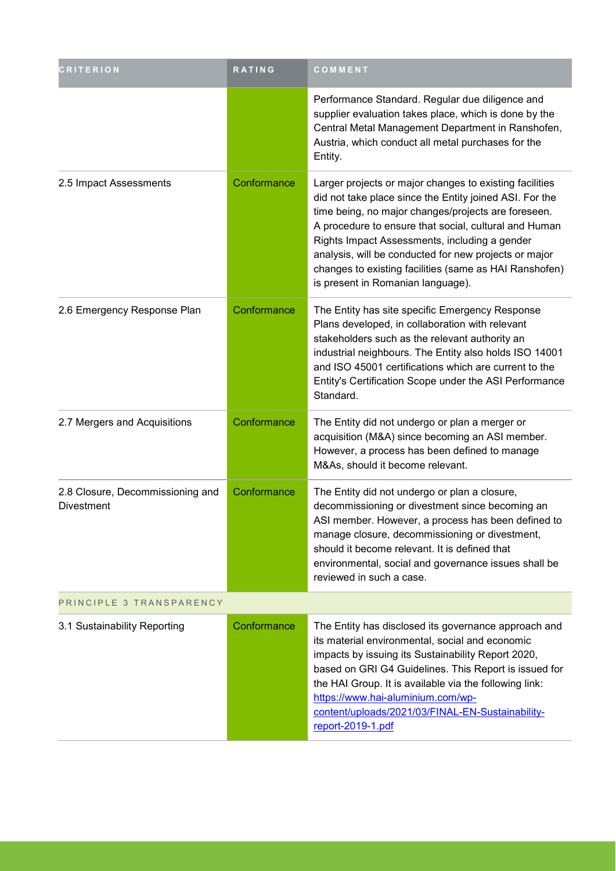| <b>CRITERION</b>                                      | RATING      | COMMENT                                                                                                                                                                                                                                                                                                                                                                                                                                     |  |
|-------------------------------------------------------|-------------|---------------------------------------------------------------------------------------------------------------------------------------------------------------------------------------------------------------------------------------------------------------------------------------------------------------------------------------------------------------------------------------------------------------------------------------------|--|
|                                                       |             | Performance Standard. Regular due diligence and<br>supplier evaluation takes place, which is done by the<br>Central Metal Management Department in Ranshofen,<br>Austria, which conduct all metal purchases for the<br>Entity.                                                                                                                                                                                                              |  |
| 2.5 Impact Assessments                                | Conformance | Larger projects or major changes to existing facilities<br>did not take place since the Entity joined ASI. For the<br>time being, no major changes/projects are foreseen.<br>A procedure to ensure that social, cultural and Human<br>Rights Impact Assessments, including a gender<br>analysis, will be conducted for new projects or major<br>changes to existing facilities (same as HAI Ranshofen)<br>is present in Romanian language). |  |
| 2.6 Emergency Response Plan                           | Conformance | The Entity has site specific Emergency Response<br>Plans developed, in collaboration with relevant<br>stakeholders such as the relevant authority an<br>industrial neighbours. The Entity also holds ISO 14001<br>and ISO 45001 certifications which are current to the<br>Entity's Certification Scope under the ASI Performance<br>Standard.                                                                                              |  |
| 2.7 Mergers and Acquisitions                          | Conformance | The Entity did not undergo or plan a merger or<br>acquisition (M&A) since becoming an ASI member.<br>However, a process has been defined to manage<br>M&As, should it become relevant.                                                                                                                                                                                                                                                      |  |
| 2.8 Closure, Decommissioning and<br><b>Divestment</b> | Conformance | The Entity did not undergo or plan a closure,<br>decommissioning or divestment since becoming an<br>ASI member. However, a process has been defined to<br>manage closure, decommissioning or divestment,<br>should it become relevant. It is defined that<br>environmental, social and governance issues shall be<br>reviewed in such a case.                                                                                               |  |
| PRINCIPLE 3 TRANSPARENCY                              |             |                                                                                                                                                                                                                                                                                                                                                                                                                                             |  |
| 3.1 Sustainability Reporting                          | Conformance | The Entity has disclosed its governance approach and<br>its material environmental, social and economic<br>impacts by issuing its Sustainability Report 2020,<br>based on GRI G4 Guidelines. This Report is issued for<br>the HAI Group. It is available via the following link:<br>https://www.hai-aluminium.com/wp-<br>content/uploads/2021/03/FINAL-EN-Sustainability-<br>report-2019-1.pdf                                              |  |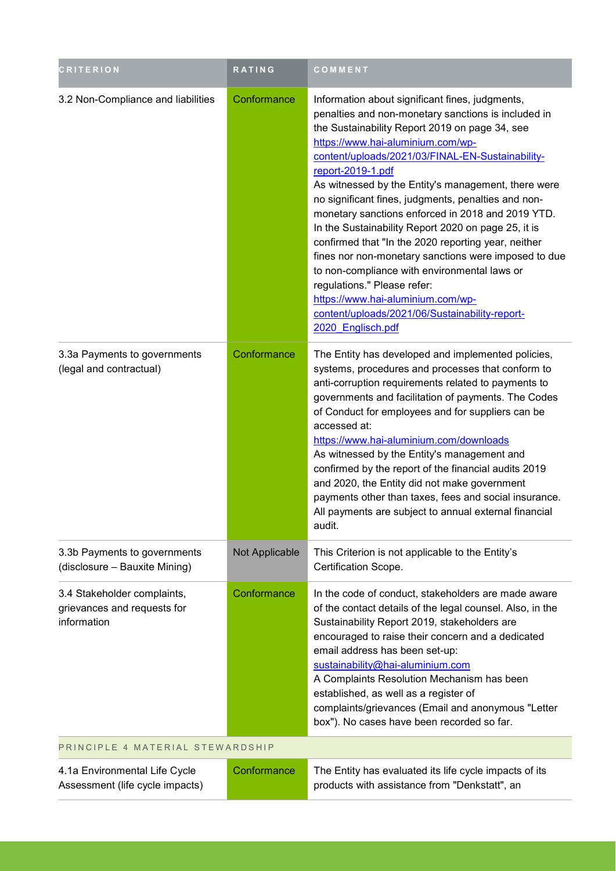| <b>CRITERION</b>                                                          | <b>RATING</b>  | COMMENT                                                                                                                                                                                                                                                                                                                                                                                                                                                                                                                                                                                                                                                                                                                                                                                                    |
|---------------------------------------------------------------------------|----------------|------------------------------------------------------------------------------------------------------------------------------------------------------------------------------------------------------------------------------------------------------------------------------------------------------------------------------------------------------------------------------------------------------------------------------------------------------------------------------------------------------------------------------------------------------------------------------------------------------------------------------------------------------------------------------------------------------------------------------------------------------------------------------------------------------------|
| 3.2 Non-Compliance and liabilities                                        | Conformance    | Information about significant fines, judgments,<br>penalties and non-monetary sanctions is included in<br>the Sustainability Report 2019 on page 34, see<br>https://www.hai-aluminium.com/wp-<br>content/uploads/2021/03/FINAL-EN-Sustainability-<br>report-2019-1.pdf<br>As witnessed by the Entity's management, there were<br>no significant fines, judgments, penalties and non-<br>monetary sanctions enforced in 2018 and 2019 YTD.<br>In the Sustainability Report 2020 on page 25, it is<br>confirmed that "In the 2020 reporting year, neither<br>fines nor non-monetary sanctions were imposed to due<br>to non-compliance with environmental laws or<br>regulations." Please refer:<br>https://www.hai-aluminium.com/wp-<br>content/uploads/2021/06/Sustainability-report-<br>2020 Englisch.pdf |
| 3.3a Payments to governments<br>(legal and contractual)                   | Conformance    | The Entity has developed and implemented policies,<br>systems, procedures and processes that conform to<br>anti-corruption requirements related to payments to<br>governments and facilitation of payments. The Codes<br>of Conduct for employees and for suppliers can be<br>accessed at:<br>https://www.hai-aluminium.com/downloads<br>As witnessed by the Entity's management and<br>confirmed by the report of the financial audits 2019<br>and 2020, the Entity did not make government<br>payments other than taxes, fees and social insurance.<br>All payments are subject to annual external financial<br>audit.                                                                                                                                                                                   |
| 3.3b Payments to governments<br>(disclosure - Bauxite Mining)             | Not Applicable | This Criterion is not applicable to the Entity's<br>Certification Scope.                                                                                                                                                                                                                                                                                                                                                                                                                                                                                                                                                                                                                                                                                                                                   |
| 3.4 Stakeholder complaints,<br>grievances and requests for<br>information | Conformance    | In the code of conduct, stakeholders are made aware<br>of the contact details of the legal counsel. Also, in the<br>Sustainability Report 2019, stakeholders are<br>encouraged to raise their concern and a dedicated<br>email address has been set-up:<br>sustainability@hai-aluminium.com<br>A Complaints Resolution Mechanism has been<br>established, as well as a register of<br>complaints/grievances (Email and anonymous "Letter<br>box"). No cases have been recorded so far.                                                                                                                                                                                                                                                                                                                     |
| PRINCIPLE 4 MATERIAL STEWARDSHIP                                          |                |                                                                                                                                                                                                                                                                                                                                                                                                                                                                                                                                                                                                                                                                                                                                                                                                            |
| 4.1a Environmental Life Cycle<br>Assessment (life cycle impacts)          | Conformance    | The Entity has evaluated its life cycle impacts of its<br>products with assistance from "Denkstatt", an                                                                                                                                                                                                                                                                                                                                                                                                                                                                                                                                                                                                                                                                                                    |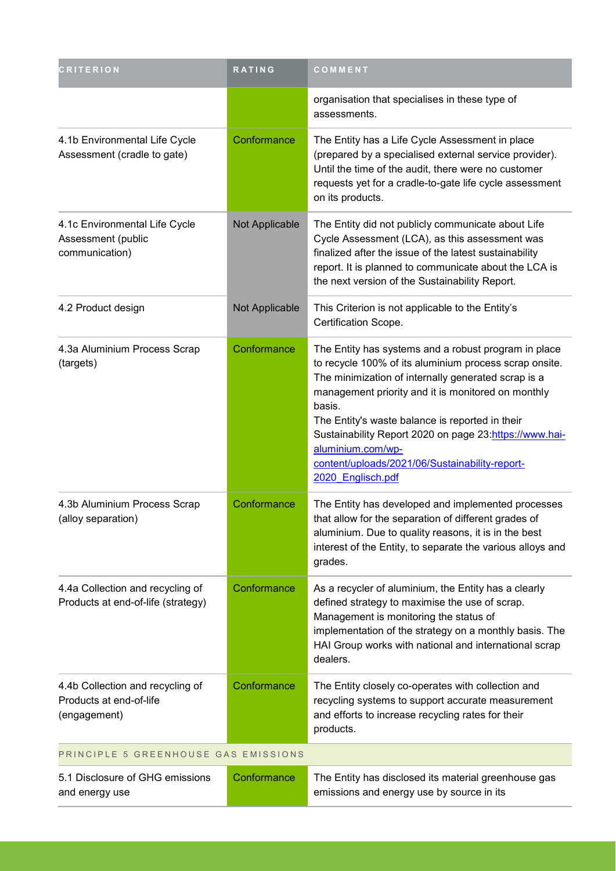| <b>CRITERION</b>                                                            | <b>RATING</b>                        | COMMENT                                                                                                                                                                                                                                                                                                                                                                                                                                        |  |
|-----------------------------------------------------------------------------|--------------------------------------|------------------------------------------------------------------------------------------------------------------------------------------------------------------------------------------------------------------------------------------------------------------------------------------------------------------------------------------------------------------------------------------------------------------------------------------------|--|
|                                                                             |                                      | organisation that specialises in these type of<br>assessments.                                                                                                                                                                                                                                                                                                                                                                                 |  |
| 4.1b Environmental Life Cycle<br>Assessment (cradle to gate)                | Conformance                          | The Entity has a Life Cycle Assessment in place<br>(prepared by a specialised external service provider).<br>Until the time of the audit, there were no customer<br>requests yet for a cradle-to-gate life cycle assessment<br>on its products.                                                                                                                                                                                                |  |
| 4.1c Environmental Life Cycle<br>Assessment (public<br>communication)       | Not Applicable                       | The Entity did not publicly communicate about Life<br>Cycle Assessment (LCA), as this assessment was<br>finalized after the issue of the latest sustainability<br>report. It is planned to communicate about the LCA is<br>the next version of the Sustainability Report.                                                                                                                                                                      |  |
| 4.2 Product design                                                          | Not Applicable                       | This Criterion is not applicable to the Entity's<br>Certification Scope.                                                                                                                                                                                                                                                                                                                                                                       |  |
| 4.3a Aluminium Process Scrap<br>(targets)                                   | Conformance                          | The Entity has systems and a robust program in place<br>to recycle 100% of its aluminium process scrap onsite.<br>The minimization of internally generated scrap is a<br>management priority and it is monitored on monthly<br>basis.<br>The Entity's waste balance is reported in their<br>Sustainability Report 2020 on page 23:https://www.hai-<br>aluminium.com/wp-<br>content/uploads/2021/06/Sustainability-report-<br>2020 Englisch.pdf |  |
| 4.3b Aluminium Process Scrap<br>(alloy separation)                          | Conformance                          | The Entity has developed and implemented processes<br>that allow for the separation of different grades of<br>aluminium. Due to quality reasons, it is in the best<br>interest of the Entity, to separate the various alloys and<br>grades.                                                                                                                                                                                                    |  |
| 4.4a Collection and recycling of<br>Products at end-of-life (strategy)      | Conformance                          | As a recycler of aluminium, the Entity has a clearly<br>defined strategy to maximise the use of scrap.<br>Management is monitoring the status of<br>implementation of the strategy on a monthly basis. The<br>HAI Group works with national and international scrap<br>dealers.                                                                                                                                                                |  |
| 4.4b Collection and recycling of<br>Products at end-of-life<br>(engagement) | Conformance                          | The Entity closely co-operates with collection and<br>recycling systems to support accurate measurement<br>and efforts to increase recycling rates for their<br>products.                                                                                                                                                                                                                                                                      |  |
|                                                                             | PRINCIPLE 5 GREENHOUSE GAS EMISSIONS |                                                                                                                                                                                                                                                                                                                                                                                                                                                |  |
| 5.1 Disclosure of GHG emissions<br>and energy use                           | Conformance                          | The Entity has disclosed its material greenhouse gas<br>emissions and energy use by source in its                                                                                                                                                                                                                                                                                                                                              |  |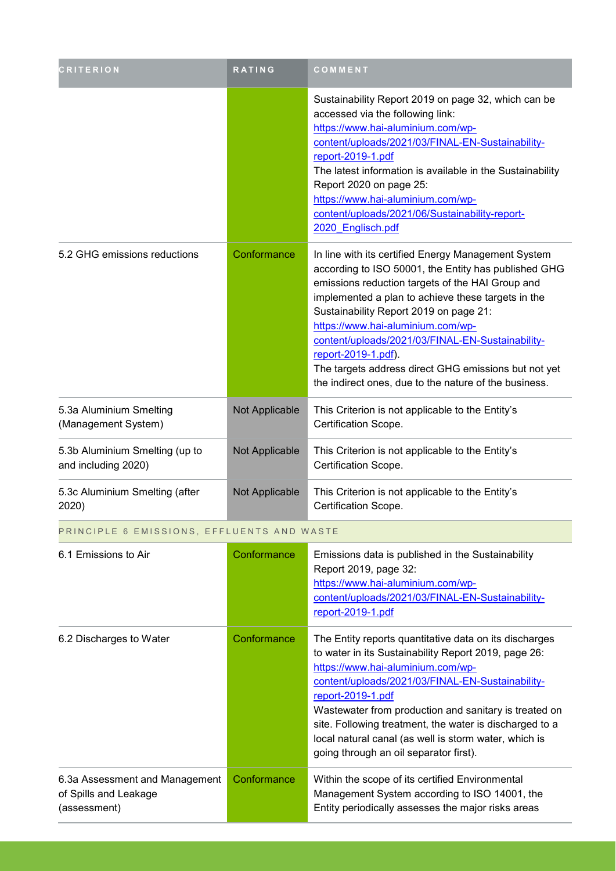| <b>CRITERION</b>                                                        | RATING         | COMMENT                                                                                                                                                                                                                                                                                                                                                                                                                                                                                          |
|-------------------------------------------------------------------------|----------------|--------------------------------------------------------------------------------------------------------------------------------------------------------------------------------------------------------------------------------------------------------------------------------------------------------------------------------------------------------------------------------------------------------------------------------------------------------------------------------------------------|
|                                                                         |                | Sustainability Report 2019 on page 32, which can be<br>accessed via the following link:<br>https://www.hai-aluminium.com/wp-<br>content/uploads/2021/03/FINAL-EN-Sustainability-<br>report-2019-1.pdf<br>The latest information is available in the Sustainability<br>Report 2020 on page 25:<br>https://www.hai-aluminium.com/wp-<br>content/uploads/2021/06/Sustainability-report-<br>2020 Englisch.pdf                                                                                        |
| 5.2 GHG emissions reductions                                            | Conformance    | In line with its certified Energy Management System<br>according to ISO 50001, the Entity has published GHG<br>emissions reduction targets of the HAI Group and<br>implemented a plan to achieve these targets in the<br>Sustainability Report 2019 on page 21:<br>https://www.hai-aluminium.com/wp-<br>content/uploads/2021/03/FINAL-EN-Sustainability-<br>report-2019-1.pdf).<br>The targets address direct GHG emissions but not yet<br>the indirect ones, due to the nature of the business. |
| 5.3a Aluminium Smelting<br>(Management System)                          | Not Applicable | This Criterion is not applicable to the Entity's<br>Certification Scope.                                                                                                                                                                                                                                                                                                                                                                                                                         |
| 5.3b Aluminium Smelting (up to<br>and including 2020)                   | Not Applicable | This Criterion is not applicable to the Entity's<br>Certification Scope.                                                                                                                                                                                                                                                                                                                                                                                                                         |
| 5.3c Aluminium Smelting (after<br>2020)                                 | Not Applicable | This Criterion is not applicable to the Entity's<br>Certification Scope.                                                                                                                                                                                                                                                                                                                                                                                                                         |
| PRINCIPLE 6 EMISSIONS, EFFLUENTS AND WASTE                              |                |                                                                                                                                                                                                                                                                                                                                                                                                                                                                                                  |
| 6.1 Emissions to Air                                                    | Conformance    | Emissions data is published in the Sustainability<br>Report 2019, page 32:<br>https://www.hai-aluminium.com/wp-<br>content/uploads/2021/03/FINAL-EN-Sustainability-<br>report-2019-1.pdf                                                                                                                                                                                                                                                                                                         |
| 6.2 Discharges to Water                                                 | Conformance    | The Entity reports quantitative data on its discharges<br>to water in its Sustainability Report 2019, page 26:<br>https://www.hai-aluminium.com/wp-<br>content/uploads/2021/03/FINAL-EN-Sustainability-<br>report-2019-1.pdf<br>Wastewater from production and sanitary is treated on<br>site. Following treatment, the water is discharged to a<br>local natural canal (as well is storm water, which is<br>going through an oil separator first).                                              |
| 6.3a Assessment and Management<br>of Spills and Leakage<br>(assessment) | Conformance    | Within the scope of its certified Environmental<br>Management System according to ISO 14001, the<br>Entity periodically assesses the major risks areas                                                                                                                                                                                                                                                                                                                                           |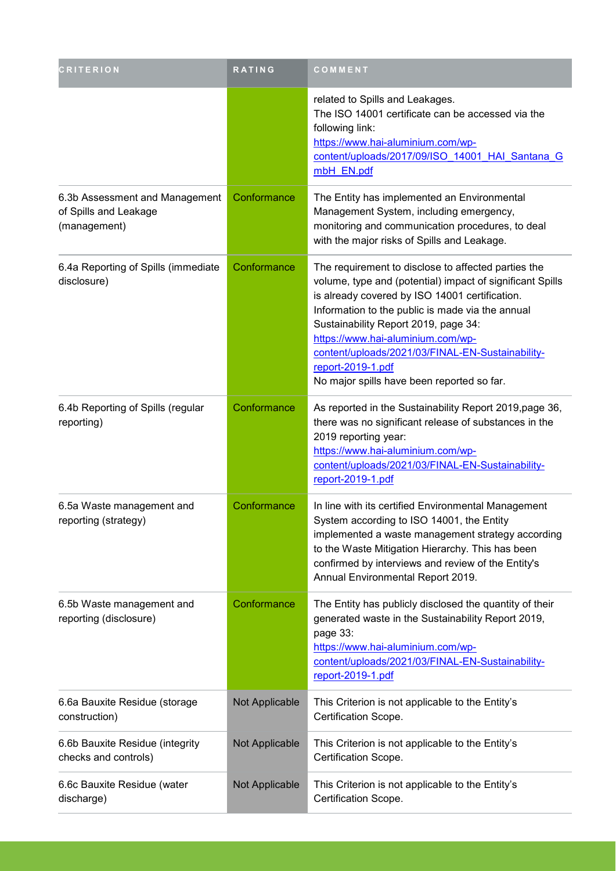| <b>CRITERION</b>                                                        | RATING         | COMMENT                                                                                                                                                                                                                                                                                                                                                                                                                    |
|-------------------------------------------------------------------------|----------------|----------------------------------------------------------------------------------------------------------------------------------------------------------------------------------------------------------------------------------------------------------------------------------------------------------------------------------------------------------------------------------------------------------------------------|
|                                                                         |                | related to Spills and Leakages.<br>The ISO 14001 certificate can be accessed via the<br>following link:<br>https://www.hai-aluminium.com/wp-<br>content/uploads/2017/09/ISO 14001 HAI Santana G<br>mbH EN.pdf                                                                                                                                                                                                              |
| 6.3b Assessment and Management<br>of Spills and Leakage<br>(management) | Conformance    | The Entity has implemented an Environmental<br>Management System, including emergency,<br>monitoring and communication procedures, to deal<br>with the major risks of Spills and Leakage.                                                                                                                                                                                                                                  |
| 6.4a Reporting of Spills (immediate<br>disclosure)                      | Conformance    | The requirement to disclose to affected parties the<br>volume, type and (potential) impact of significant Spills<br>is already covered by ISO 14001 certification.<br>Information to the public is made via the annual<br>Sustainability Report 2019, page 34:<br>https://www.hai-aluminium.com/wp-<br>content/uploads/2021/03/FINAL-EN-Sustainability-<br>report-2019-1.pdf<br>No major spills have been reported so far. |
| 6.4b Reporting of Spills (regular<br>reporting)                         | Conformance    | As reported in the Sustainability Report 2019, page 36,<br>there was no significant release of substances in the<br>2019 reporting year:<br>https://www.hai-aluminium.com/wp-<br>content/uploads/2021/03/FINAL-EN-Sustainability-<br>report-2019-1.pdf                                                                                                                                                                     |
| 6.5a Waste management and<br>reporting (strategy)                       | Conformance    | In line with its certified Environmental Management<br>System according to ISO 14001, the Entity<br>implemented a waste management strategy according<br>to the Waste Mitigation Hierarchy. This has been<br>confirmed by interviews and review of the Entity's<br>Annual Environmental Report 2019.                                                                                                                       |
| 6.5b Waste management and<br>reporting (disclosure)                     | Conformance    | The Entity has publicly disclosed the quantity of their<br>generated waste in the Sustainability Report 2019,<br>page 33:<br>https://www.hai-aluminium.com/wp-<br>content/uploads/2021/03/FINAL-EN-Sustainability-<br>report-2019-1.pdf                                                                                                                                                                                    |
| 6.6a Bauxite Residue (storage<br>construction)                          | Not Applicable | This Criterion is not applicable to the Entity's<br>Certification Scope.                                                                                                                                                                                                                                                                                                                                                   |
| 6.6b Bauxite Residue (integrity<br>checks and controls)                 | Not Applicable | This Criterion is not applicable to the Entity's<br>Certification Scope.                                                                                                                                                                                                                                                                                                                                                   |
| 6.6c Bauxite Residue (water<br>discharge)                               | Not Applicable | This Criterion is not applicable to the Entity's<br>Certification Scope.                                                                                                                                                                                                                                                                                                                                                   |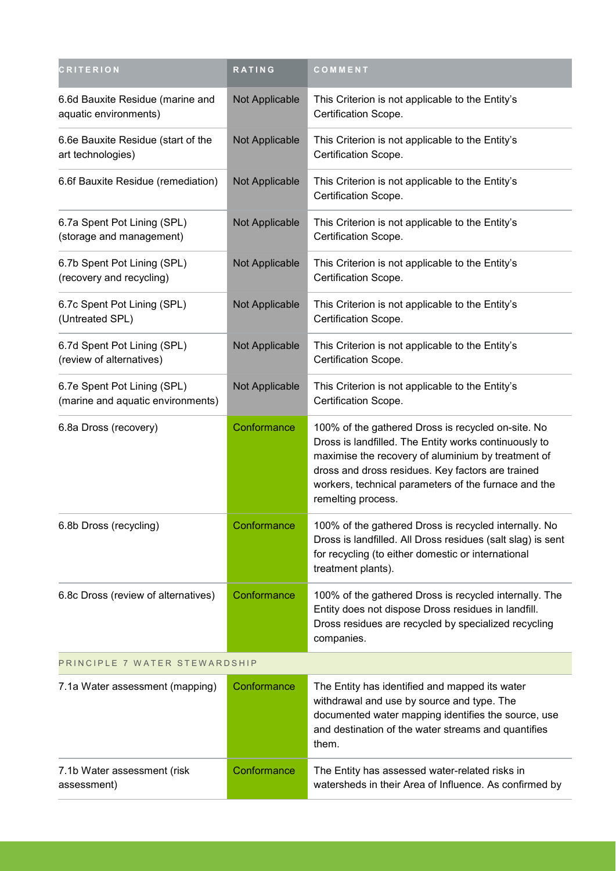| <b>CRITERION</b>                                                 | RATING         | COMMENT                                                                                                                                                                                                                                                                                              |
|------------------------------------------------------------------|----------------|------------------------------------------------------------------------------------------------------------------------------------------------------------------------------------------------------------------------------------------------------------------------------------------------------|
| 6.6d Bauxite Residue (marine and<br>aquatic environments)        | Not Applicable | This Criterion is not applicable to the Entity's<br>Certification Scope.                                                                                                                                                                                                                             |
| 6.6e Bauxite Residue (start of the<br>art technologies)          | Not Applicable | This Criterion is not applicable to the Entity's<br>Certification Scope.                                                                                                                                                                                                                             |
| 6.6f Bauxite Residue (remediation)                               | Not Applicable | This Criterion is not applicable to the Entity's<br>Certification Scope.                                                                                                                                                                                                                             |
| 6.7a Spent Pot Lining (SPL)<br>(storage and management)          | Not Applicable | This Criterion is not applicable to the Entity's<br>Certification Scope.                                                                                                                                                                                                                             |
| 6.7b Spent Pot Lining (SPL)<br>(recovery and recycling)          | Not Applicable | This Criterion is not applicable to the Entity's<br>Certification Scope.                                                                                                                                                                                                                             |
| 6.7c Spent Pot Lining (SPL)<br>(Untreated SPL)                   | Not Applicable | This Criterion is not applicable to the Entity's<br>Certification Scope.                                                                                                                                                                                                                             |
| 6.7d Spent Pot Lining (SPL)<br>(review of alternatives)          | Not Applicable | This Criterion is not applicable to the Entity's<br>Certification Scope.                                                                                                                                                                                                                             |
| 6.7e Spent Pot Lining (SPL)<br>(marine and aquatic environments) | Not Applicable | This Criterion is not applicable to the Entity's<br>Certification Scope.                                                                                                                                                                                                                             |
| 6.8a Dross (recovery)                                            | Conformance    | 100% of the gathered Dross is recycled on-site. No<br>Dross is landfilled. The Entity works continuously to<br>maximise the recovery of aluminium by treatment of<br>dross and dross residues. Key factors are trained<br>workers, technical parameters of the furnace and the<br>remelting process. |
| 6.8b Dross (recycling)                                           | Conformance    | 100% of the gathered Dross is recycled internally. No<br>Dross is landfilled. All Dross residues (salt slag) is sent<br>for recycling (to either domestic or international<br>treatment plants).                                                                                                     |
| 6.8c Dross (review of alternatives)                              | Conformance    | 100% of the gathered Dross is recycled internally. The<br>Entity does not dispose Dross residues in landfill.<br>Dross residues are recycled by specialized recycling<br>companies.                                                                                                                  |
| PRINCIPLE 7 WATER STEWARDSHIP                                    |                |                                                                                                                                                                                                                                                                                                      |
| 7.1a Water assessment (mapping)                                  | Conformance    | The Entity has identified and mapped its water<br>withdrawal and use by source and type. The<br>documented water mapping identifies the source, use<br>and destination of the water streams and quantifies<br>them.                                                                                  |
| 7.1b Water assessment (risk<br>assessment)                       | Conformance    | The Entity has assessed water-related risks in<br>watersheds in their Area of Influence. As confirmed by                                                                                                                                                                                             |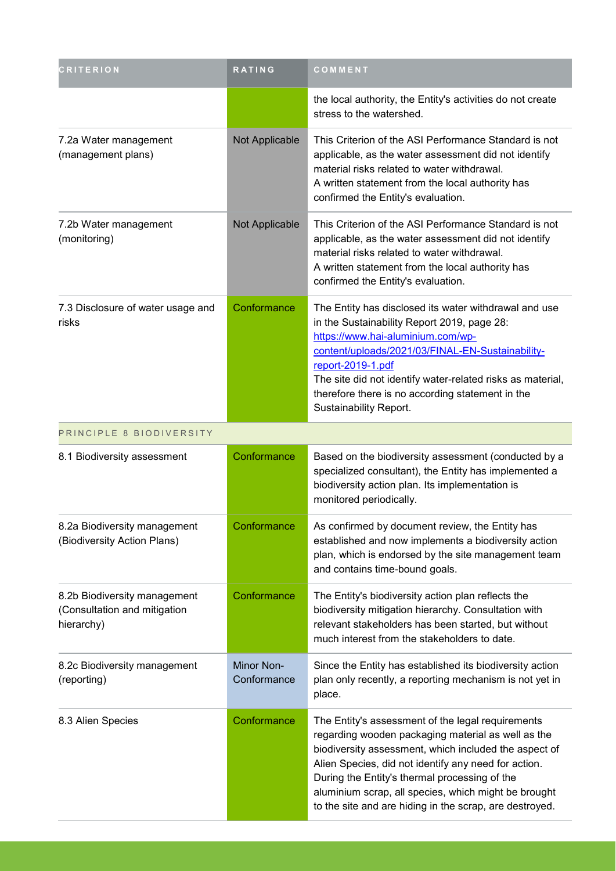| <b>CRITERION</b>                                                           | <b>RATING</b>             | COMMENT                                                                                                                                                                                                                                                                                                                                                                                      |
|----------------------------------------------------------------------------|---------------------------|----------------------------------------------------------------------------------------------------------------------------------------------------------------------------------------------------------------------------------------------------------------------------------------------------------------------------------------------------------------------------------------------|
|                                                                            |                           | the local authority, the Entity's activities do not create<br>stress to the watershed.                                                                                                                                                                                                                                                                                                       |
| 7.2a Water management<br>(management plans)                                | Not Applicable            | This Criterion of the ASI Performance Standard is not<br>applicable, as the water assessment did not identify<br>material risks related to water withdrawal.<br>A written statement from the local authority has<br>confirmed the Entity's evaluation.                                                                                                                                       |
| 7.2b Water management<br>(monitoring)                                      | Not Applicable            | This Criterion of the ASI Performance Standard is not<br>applicable, as the water assessment did not identify<br>material risks related to water withdrawal.<br>A written statement from the local authority has<br>confirmed the Entity's evaluation.                                                                                                                                       |
| 7.3 Disclosure of water usage and<br>risks                                 | Conformance               | The Entity has disclosed its water withdrawal and use<br>in the Sustainability Report 2019, page 28:<br>https://www.hai-aluminium.com/wp-<br>content/uploads/2021/03/FINAL-EN-Sustainability-<br>report-2019-1.pdf<br>The site did not identify water-related risks as material,<br>therefore there is no according statement in the<br>Sustainability Report.                               |
| PRINCIPLE 8 BIODIVERSITY                                                   |                           |                                                                                                                                                                                                                                                                                                                                                                                              |
| 8.1 Biodiversity assessment                                                | Conformance               | Based on the biodiversity assessment (conducted by a<br>specialized consultant), the Entity has implemented a<br>biodiversity action plan. Its implementation is<br>monitored periodically.                                                                                                                                                                                                  |
| 8.2a Biodiversity management<br>(Biodiversity Action Plans)                | Conformance               | As confirmed by document review, the Entity has<br>established and now implements a biodiversity action<br>plan, which is endorsed by the site management team<br>and contains time-bound goals.                                                                                                                                                                                             |
| 8.2b Biodiversity management<br>(Consultation and mitigation<br>hierarchy) | Conformance               | The Entity's biodiversity action plan reflects the<br>biodiversity mitigation hierarchy. Consultation with<br>relevant stakeholders has been started, but without<br>much interest from the stakeholders to date.                                                                                                                                                                            |
| 8.2c Biodiversity management<br>(reporting)                                | Minor Non-<br>Conformance | Since the Entity has established its biodiversity action<br>plan only recently, a reporting mechanism is not yet in<br>place.                                                                                                                                                                                                                                                                |
| 8.3 Alien Species                                                          | Conformance               | The Entity's assessment of the legal requirements<br>regarding wooden packaging material as well as the<br>biodiversity assessment, which included the aspect of<br>Alien Species, did not identify any need for action.<br>During the Entity's thermal processing of the<br>aluminium scrap, all species, which might be brought<br>to the site and are hiding in the scrap, are destroyed. |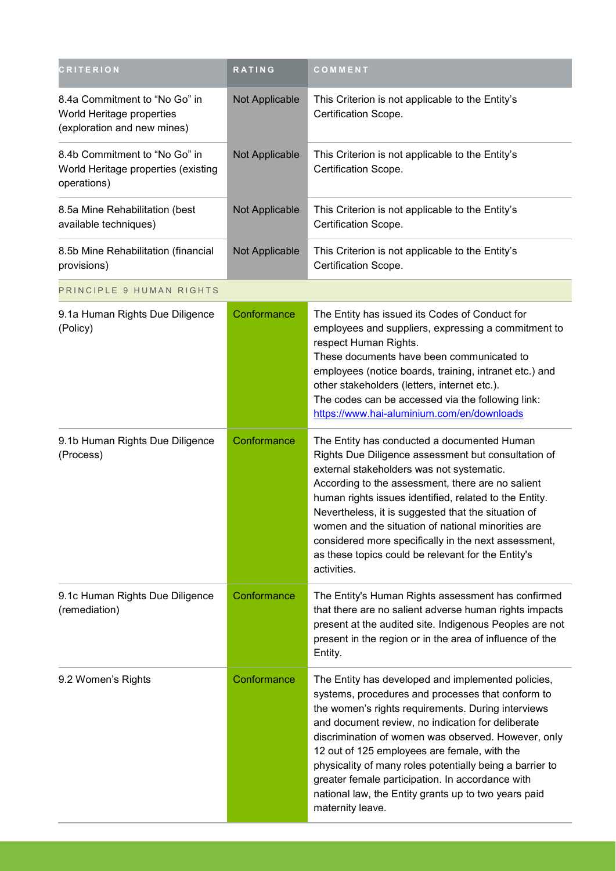| <b>CRITERION</b>                                                                          | <b>RATING</b>  | COMMENT                                                                                                                                                                                                                                                                                                                                                                                                                                                                                                               |
|-------------------------------------------------------------------------------------------|----------------|-----------------------------------------------------------------------------------------------------------------------------------------------------------------------------------------------------------------------------------------------------------------------------------------------------------------------------------------------------------------------------------------------------------------------------------------------------------------------------------------------------------------------|
| 8.4a Commitment to "No Go" in<br>World Heritage properties<br>(exploration and new mines) | Not Applicable | This Criterion is not applicable to the Entity's<br>Certification Scope.                                                                                                                                                                                                                                                                                                                                                                                                                                              |
| 8.4b Commitment to "No Go" in<br>World Heritage properties (existing<br>operations)       | Not Applicable | This Criterion is not applicable to the Entity's<br>Certification Scope.                                                                                                                                                                                                                                                                                                                                                                                                                                              |
| 8.5a Mine Rehabilitation (best<br>available techniques)                                   | Not Applicable | This Criterion is not applicable to the Entity's<br>Certification Scope.                                                                                                                                                                                                                                                                                                                                                                                                                                              |
| 8.5b Mine Rehabilitation (financial<br>provisions)                                        | Not Applicable | This Criterion is not applicable to the Entity's<br>Certification Scope.                                                                                                                                                                                                                                                                                                                                                                                                                                              |
| PRINCIPLE 9 HUMAN RIGHTS                                                                  |                |                                                                                                                                                                                                                                                                                                                                                                                                                                                                                                                       |
| 9.1a Human Rights Due Diligence<br>(Policy)                                               | Conformance    | The Entity has issued its Codes of Conduct for<br>employees and suppliers, expressing a commitment to<br>respect Human Rights.<br>These documents have been communicated to<br>employees (notice boards, training, intranet etc.) and<br>other stakeholders (letters, internet etc.).<br>The codes can be accessed via the following link:<br>https://www.hai-aluminium.com/en/downloads                                                                                                                              |
| 9.1b Human Rights Due Diligence<br>(Process)                                              | Conformance    | The Entity has conducted a documented Human<br>Rights Due Diligence assessment but consultation of<br>external stakeholders was not systematic.<br>According to the assessment, there are no salient<br>human rights issues identified, related to the Entity.<br>Nevertheless, it is suggested that the situation of<br>women and the situation of national minorities are<br>considered more specifically in the next assessment,<br>as these topics could be relevant for the Entity's<br>activities.              |
| 9.1c Human Rights Due Diligence<br>(remediation)                                          | Conformance    | The Entity's Human Rights assessment has confirmed<br>that there are no salient adverse human rights impacts<br>present at the audited site. Indigenous Peoples are not<br>present in the region or in the area of influence of the<br>Entity.                                                                                                                                                                                                                                                                        |
| 9.2 Women's Rights                                                                        | Conformance    | The Entity has developed and implemented policies,<br>systems, procedures and processes that conform to<br>the women's rights requirements. During interviews<br>and document review, no indication for deliberate<br>discrimination of women was observed. However, only<br>12 out of 125 employees are female, with the<br>physicality of many roles potentially being a barrier to<br>greater female participation. In accordance with<br>national law, the Entity grants up to two years paid<br>maternity leave. |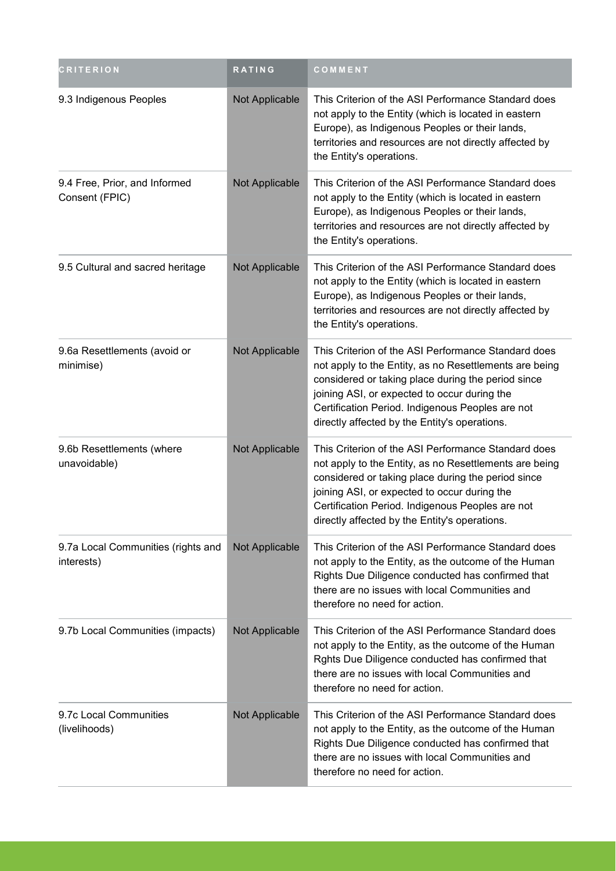| <b>CRITERION</b>                                 | <b>RATING</b>         | COMMENT                                                                                                                                                                                                                                                                                                                  |
|--------------------------------------------------|-----------------------|--------------------------------------------------------------------------------------------------------------------------------------------------------------------------------------------------------------------------------------------------------------------------------------------------------------------------|
| 9.3 Indigenous Peoples                           | Not Applicable        | This Criterion of the ASI Performance Standard does<br>not apply to the Entity (which is located in eastern<br>Europe), as Indigenous Peoples or their lands,<br>territories and resources are not directly affected by<br>the Entity's operations.                                                                      |
| 9.4 Free, Prior, and Informed<br>Consent (FPIC)  | <b>Not Applicable</b> | This Criterion of the ASI Performance Standard does<br>not apply to the Entity (which is located in eastern<br>Europe), as Indigenous Peoples or their lands,<br>territories and resources are not directly affected by<br>the Entity's operations.                                                                      |
| 9.5 Cultural and sacred heritage                 | Not Applicable        | This Criterion of the ASI Performance Standard does<br>not apply to the Entity (which is located in eastern<br>Europe), as Indigenous Peoples or their lands,<br>territories and resources are not directly affected by<br>the Entity's operations.                                                                      |
| 9.6a Resettlements (avoid or<br>minimise)        | Not Applicable        | This Criterion of the ASI Performance Standard does<br>not apply to the Entity, as no Resettlements are being<br>considered or taking place during the period since<br>joining ASI, or expected to occur during the<br>Certification Period. Indigenous Peoples are not<br>directly affected by the Entity's operations. |
| 9.6b Resettlements (where<br>unavoidable)        | Not Applicable        | This Criterion of the ASI Performance Standard does<br>not apply to the Entity, as no Resettlements are being<br>considered or taking place during the period since<br>joining ASI, or expected to occur during the<br>Certification Period. Indigenous Peoples are not<br>directly affected by the Entity's operations. |
| 9.7a Local Communities (rights and<br>interests) | Not Applicable        | This Criterion of the ASI Performance Standard does<br>not apply to the Entity, as the outcome of the Human<br>Rights Due Diligence conducted has confirmed that<br>there are no issues with local Communities and<br>therefore no need for action.                                                                      |
| 9.7b Local Communities (impacts)                 | <b>Not Applicable</b> | This Criterion of the ASI Performance Standard does<br>not apply to the Entity, as the outcome of the Human<br>Rghts Due Diligence conducted has confirmed that<br>there are no issues with local Communities and<br>therefore no need for action.                                                                       |
| 9.7c Local Communities<br>(livelihoods)          | <b>Not Applicable</b> | This Criterion of the ASI Performance Standard does<br>not apply to the Entity, as the outcome of the Human<br>Rights Due Diligence conducted has confirmed that<br>there are no issues with local Communities and<br>therefore no need for action.                                                                      |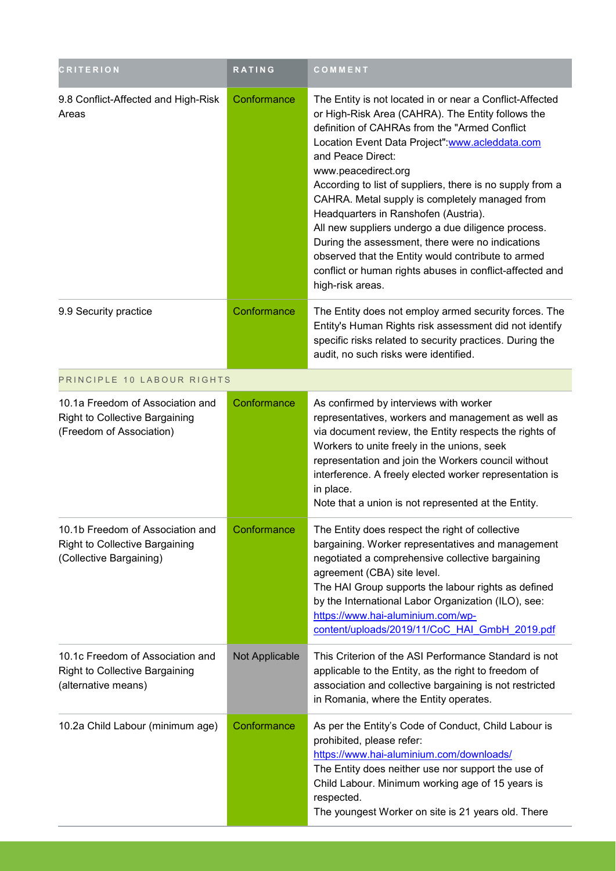| <b>CRITERION</b>                                                                                     | <b>RATING</b>  | COMMENT                                                                                                                                                                                                                                                                                                                                                                                                                                                                                                                                                                                                                                                              |
|------------------------------------------------------------------------------------------------------|----------------|----------------------------------------------------------------------------------------------------------------------------------------------------------------------------------------------------------------------------------------------------------------------------------------------------------------------------------------------------------------------------------------------------------------------------------------------------------------------------------------------------------------------------------------------------------------------------------------------------------------------------------------------------------------------|
| 9.8 Conflict-Affected and High-Risk<br>Areas                                                         | Conformance    | The Entity is not located in or near a Conflict-Affected<br>or High-Risk Area (CAHRA). The Entity follows the<br>definition of CAHRAs from the "Armed Conflict<br>Location Event Data Project": www.acleddata.com<br>and Peace Direct:<br>www.peacedirect.org<br>According to list of suppliers, there is no supply from a<br>CAHRA. Metal supply is completely managed from<br>Headquarters in Ranshofen (Austria).<br>All new suppliers undergo a due diligence process.<br>During the assessment, there were no indications<br>observed that the Entity would contribute to armed<br>conflict or human rights abuses in conflict-affected and<br>high-risk areas. |
| 9.9 Security practice                                                                                | Conformance    | The Entity does not employ armed security forces. The<br>Entity's Human Rights risk assessment did not identify<br>specific risks related to security practices. During the<br>audit, no such risks were identified.                                                                                                                                                                                                                                                                                                                                                                                                                                                 |
| PRINCIPLE 10 LABOUR RIGHTS                                                                           |                |                                                                                                                                                                                                                                                                                                                                                                                                                                                                                                                                                                                                                                                                      |
| 10.1a Freedom of Association and<br>Right to Collective Bargaining<br>(Freedom of Association)       | Conformance    | As confirmed by interviews with worker<br>representatives, workers and management as well as<br>via document review, the Entity respects the rights of<br>Workers to unite freely in the unions, seek<br>representation and join the Workers council without<br>interference. A freely elected worker representation is<br>in place.<br>Note that a union is not represented at the Entity.                                                                                                                                                                                                                                                                          |
| 10.1b Freedom of Association and<br><b>Right to Collective Bargaining</b><br>(Collective Bargaining) | Conformance    | The Entity does respect the right of collective<br>bargaining. Worker representatives and management<br>negotiated a comprehensive collective bargaining<br>agreement (CBA) site level.<br>The HAI Group supports the labour rights as defined<br>by the International Labor Organization (ILO), see:<br>https://www.hai-aluminium.com/wp-<br>content/uploads/2019/11/CoC HAI GmbH 2019.pdf                                                                                                                                                                                                                                                                          |
| 10.1c Freedom of Association and<br><b>Right to Collective Bargaining</b><br>(alternative means)     | Not Applicable | This Criterion of the ASI Performance Standard is not<br>applicable to the Entity, as the right to freedom of<br>association and collective bargaining is not restricted<br>in Romania, where the Entity operates.                                                                                                                                                                                                                                                                                                                                                                                                                                                   |
| 10.2a Child Labour (minimum age)                                                                     | Conformance    | As per the Entity's Code of Conduct, Child Labour is<br>prohibited, please refer:<br>https://www.hai-aluminium.com/downloads/<br>The Entity does neither use nor support the use of<br>Child Labour. Minimum working age of 15 years is<br>respected.<br>The youngest Worker on site is 21 years old. There                                                                                                                                                                                                                                                                                                                                                          |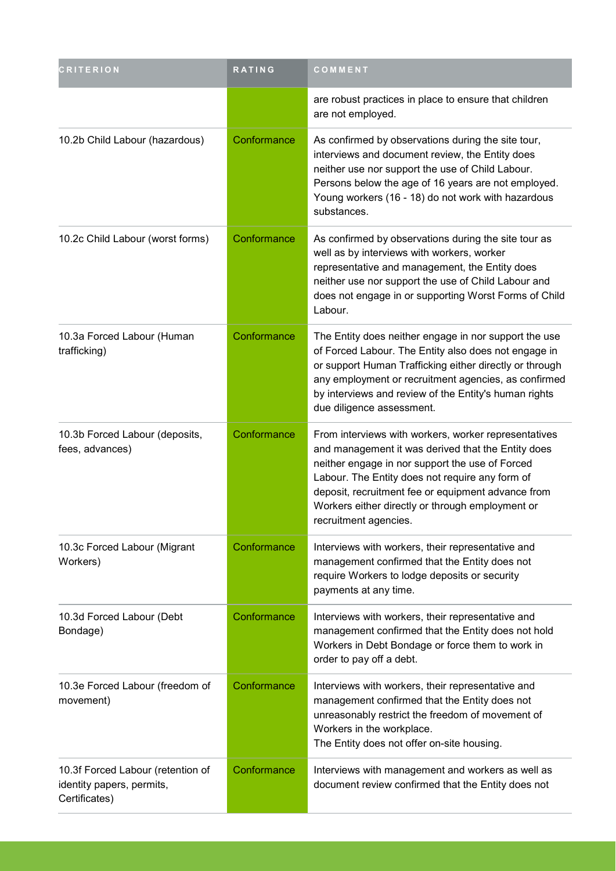| <b>CRITERION</b>                                                                | RATING      | COMMENT                                                                                                                                                                                                                                                                                                                                             |
|---------------------------------------------------------------------------------|-------------|-----------------------------------------------------------------------------------------------------------------------------------------------------------------------------------------------------------------------------------------------------------------------------------------------------------------------------------------------------|
|                                                                                 |             | are robust practices in place to ensure that children<br>are not employed.                                                                                                                                                                                                                                                                          |
| 10.2b Child Labour (hazardous)                                                  | Conformance | As confirmed by observations during the site tour,<br>interviews and document review, the Entity does<br>neither use nor support the use of Child Labour.<br>Persons below the age of 16 years are not employed.<br>Young workers (16 - 18) do not work with hazardous<br>substances.                                                               |
| 10.2c Child Labour (worst forms)                                                | Conformance | As confirmed by observations during the site tour as<br>well as by interviews with workers, worker<br>representative and management, the Entity does<br>neither use nor support the use of Child Labour and<br>does not engage in or supporting Worst Forms of Child<br>Labour.                                                                     |
| 10.3a Forced Labour (Human<br>trafficking)                                      | Conformance | The Entity does neither engage in nor support the use<br>of Forced Labour. The Entity also does not engage in<br>or support Human Trafficking either directly or through<br>any employment or recruitment agencies, as confirmed<br>by interviews and review of the Entity's human rights<br>due diligence assessment.                              |
| 10.3b Forced Labour (deposits,<br>fees, advances)                               | Conformance | From interviews with workers, worker representatives<br>and management it was derived that the Entity does<br>neither engage in nor support the use of Forced<br>Labour. The Entity does not require any form of<br>deposit, recruitment fee or equipment advance from<br>Workers either directly or through employment or<br>recruitment agencies. |
| 10.3c Forced Labour (Migrant<br>Workers)                                        | Conformance | Interviews with workers, their representative and<br>management confirmed that the Entity does not<br>require Workers to lodge deposits or security<br>payments at any time.                                                                                                                                                                        |
| 10.3d Forced Labour (Debt<br>Bondage)                                           | Conformance | Interviews with workers, their representative and<br>management confirmed that the Entity does not hold<br>Workers in Debt Bondage or force them to work in<br>order to pay off a debt.                                                                                                                                                             |
| 10.3e Forced Labour (freedom of<br>movement)                                    | Conformance | Interviews with workers, their representative and<br>management confirmed that the Entity does not<br>unreasonably restrict the freedom of movement of<br>Workers in the workplace.<br>The Entity does not offer on-site housing.                                                                                                                   |
| 10.3f Forced Labour (retention of<br>identity papers, permits,<br>Certificates) | Conformance | Interviews with management and workers as well as<br>document review confirmed that the Entity does not                                                                                                                                                                                                                                             |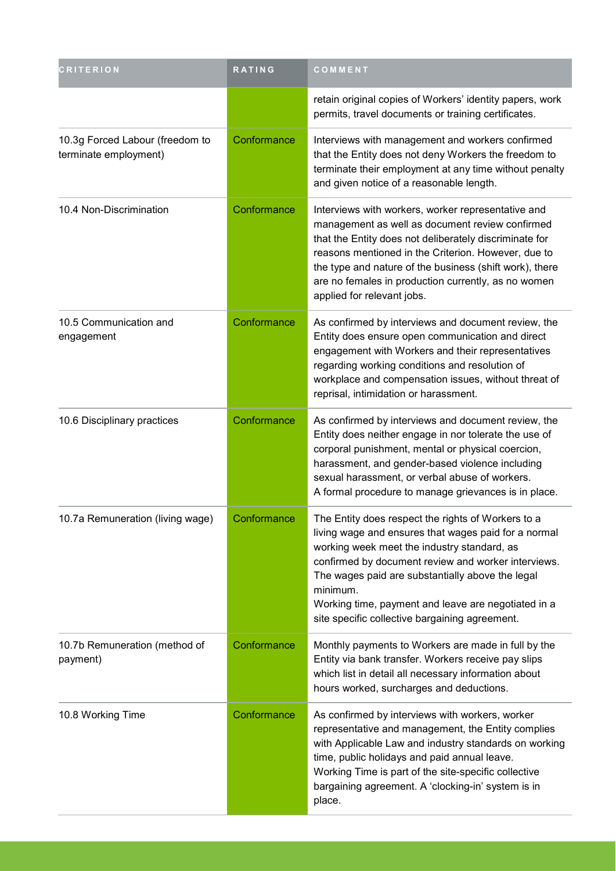| <b>CRITERION</b>                                         | RATING      | COMMENT                                                                                                                                                                                                                                                                                                                                                                                   |
|----------------------------------------------------------|-------------|-------------------------------------------------------------------------------------------------------------------------------------------------------------------------------------------------------------------------------------------------------------------------------------------------------------------------------------------------------------------------------------------|
|                                                          |             | retain original copies of Workers' identity papers, work<br>permits, travel documents or training certificates.                                                                                                                                                                                                                                                                           |
| 10.3g Forced Labour (freedom to<br>terminate employment) | Conformance | Interviews with management and workers confirmed<br>that the Entity does not deny Workers the freedom to<br>terminate their employment at any time without penalty<br>and given notice of a reasonable length.                                                                                                                                                                            |
| 10.4 Non-Discrimination                                  | Conformance | Interviews with workers, worker representative and<br>management as well as document review confirmed<br>that the Entity does not deliberately discriminate for<br>reasons mentioned in the Criterion. However, due to<br>the type and nature of the business (shift work), there<br>are no females in production currently, as no women<br>applied for relevant jobs.                    |
| 10.5 Communication and<br>engagement                     | Conformance | As confirmed by interviews and document review, the<br>Entity does ensure open communication and direct<br>engagement with Workers and their representatives<br>regarding working conditions and resolution of<br>workplace and compensation issues, without threat of<br>reprisal, intimidation or harassment.                                                                           |
| 10.6 Disciplinary practices                              | Conformance | As confirmed by interviews and document review, the<br>Entity does neither engage in nor tolerate the use of<br>corporal punishment, mental or physical coercion,<br>harassment, and gender-based violence including<br>sexual harassment, or verbal abuse of workers.<br>A formal procedure to manage grievances is in place.                                                            |
| 10.7a Remuneration (living wage)                         | Conformance | The Entity does respect the rights of Workers to a<br>living wage and ensures that wages paid for a normal<br>working week meet the industry standard, as<br>confirmed by document review and worker interviews.<br>The wages paid are substantially above the legal<br>minimum.<br>Working time, payment and leave are negotiated in a<br>site specific collective bargaining agreement. |
| 10.7b Remuneration (method of<br>payment)                | Conformance | Monthly payments to Workers are made in full by the<br>Entity via bank transfer. Workers receive pay slips<br>which list in detail all necessary information about<br>hours worked, surcharges and deductions.                                                                                                                                                                            |
| 10.8 Working Time                                        | Conformance | As confirmed by interviews with workers, worker<br>representative and management, the Entity complies<br>with Applicable Law and industry standards on working<br>time, public holidays and paid annual leave.<br>Working Time is part of the site-specific collective<br>bargaining agreement. A 'clocking-in' system is in<br>place.                                                    |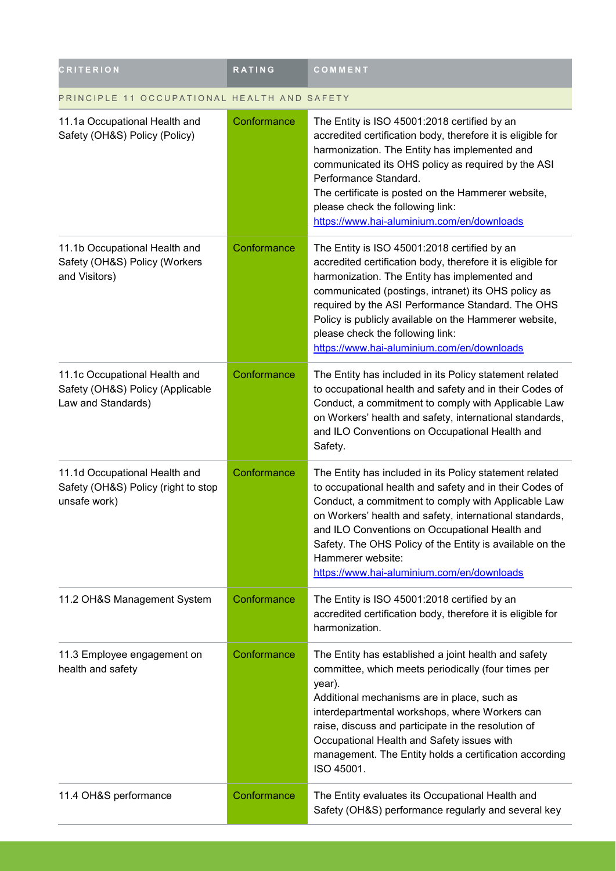| <b>CRITERION</b>                                                                        | RATING      | COMMENT                                                                                                                                                                                                                                                                                                                                                                                                               |
|-----------------------------------------------------------------------------------------|-------------|-----------------------------------------------------------------------------------------------------------------------------------------------------------------------------------------------------------------------------------------------------------------------------------------------------------------------------------------------------------------------------------------------------------------------|
| PRINCIPLE 11 OCCUPATIONAL HEALTH AND SAFETY                                             |             |                                                                                                                                                                                                                                                                                                                                                                                                                       |
| 11.1a Occupational Health and<br>Safety (OH&S) Policy (Policy)                          | Conformance | The Entity is ISO 45001:2018 certified by an<br>accredited certification body, therefore it is eligible for<br>harmonization. The Entity has implemented and<br>communicated its OHS policy as required by the ASI<br>Performance Standard.<br>The certificate is posted on the Hammerer website,<br>please check the following link:<br>https://www.hai-aluminium.com/en/downloads                                   |
| 11.1b Occupational Health and<br>Safety (OH&S) Policy (Workers<br>and Visitors)         | Conformance | The Entity is ISO 45001:2018 certified by an<br>accredited certification body, therefore it is eligible for<br>harmonization. The Entity has implemented and<br>communicated (postings, intranet) its OHS policy as<br>required by the ASI Performance Standard. The OHS<br>Policy is publicly available on the Hammerer website,<br>please check the following link:<br>https://www.hai-aluminium.com/en/downloads   |
| 11.1c Occupational Health and<br>Safety (OH&S) Policy (Applicable<br>Law and Standards) | Conformance | The Entity has included in its Policy statement related<br>to occupational health and safety and in their Codes of<br>Conduct, a commitment to comply with Applicable Law<br>on Workers' health and safety, international standards,<br>and ILO Conventions on Occupational Health and<br>Safety.                                                                                                                     |
| 11.1d Occupational Health and<br>Safety (OH&S) Policy (right to stop<br>unsafe work)    | Conformance | The Entity has included in its Policy statement related<br>to occupational health and safety and in their Codes of<br>Conduct, a commitment to comply with Applicable Law<br>on Workers' health and safety, international standards,<br>and ILO Conventions on Occupational Health and<br>Safety. The OHS Policy of the Entity is available on the<br>Hammerer website:<br>https://www.hai-aluminium.com/en/downloads |
| 11.2 OH&S Management System                                                             | Conformance | The Entity is ISO 45001:2018 certified by an<br>accredited certification body, therefore it is eligible for<br>harmonization.                                                                                                                                                                                                                                                                                         |
| 11.3 Employee engagement on<br>health and safety                                        | Conformance | The Entity has established a joint health and safety<br>committee, which meets periodically (four times per<br>year).<br>Additional mechanisms are in place, such as<br>interdepartmental workshops, where Workers can<br>raise, discuss and participate in the resolution of<br>Occupational Health and Safety issues with<br>management. The Entity holds a certification according<br>ISO 45001.                   |
| 11.4 OH&S performance                                                                   | Conformance | The Entity evaluates its Occupational Health and<br>Safety (OH&S) performance regularly and several key                                                                                                                                                                                                                                                                                                               |